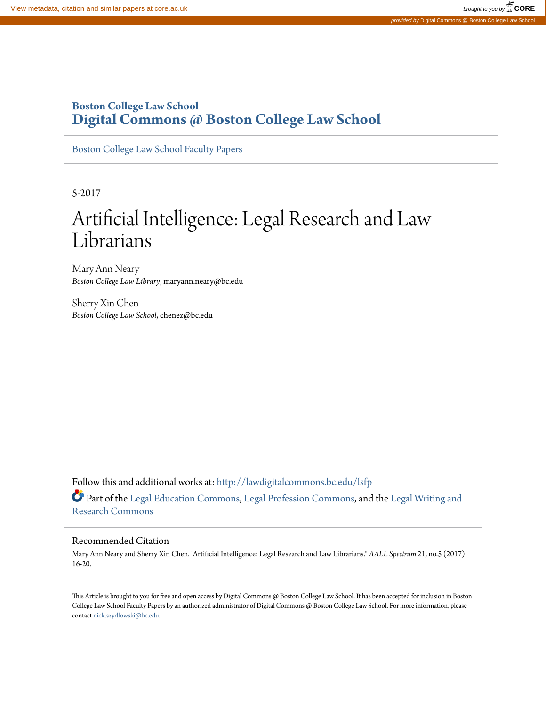# **Boston College Law School [Digital Commons @ Boston College Law School](http://lawdigitalcommons.bc.edu?utm_source=lawdigitalcommons.bc.edu%2Flsfp%2F1073&utm_medium=PDF&utm_campaign=PDFCoverPages)**

[Boston College Law School Faculty Papers](http://lawdigitalcommons.bc.edu/lsfp?utm_source=lawdigitalcommons.bc.edu%2Flsfp%2F1073&utm_medium=PDF&utm_campaign=PDFCoverPages)

5-2017

# Artificial Intelligence: Legal Research and Law Librarians

Mary Ann Neary *Boston College Law Library*, maryann.neary@bc.edu

Sherry Xin Chen *Boston College Law School*, chenez@bc.edu

Follow this and additional works at: [http://lawdigitalcommons.bc.edu/lsfp](http://lawdigitalcommons.bc.edu/lsfp?utm_source=lawdigitalcommons.bc.edu%2Flsfp%2F1073&utm_medium=PDF&utm_campaign=PDFCoverPages) Part of the [Legal Education Commons,](http://network.bepress.com/hgg/discipline/857?utm_source=lawdigitalcommons.bc.edu%2Flsfp%2F1073&utm_medium=PDF&utm_campaign=PDFCoverPages) [Legal Profession Commons,](http://network.bepress.com/hgg/discipline/1075?utm_source=lawdigitalcommons.bc.edu%2Flsfp%2F1073&utm_medium=PDF&utm_campaign=PDFCoverPages) and the [Legal Writing and](http://network.bepress.com/hgg/discipline/614?utm_source=lawdigitalcommons.bc.edu%2Flsfp%2F1073&utm_medium=PDF&utm_campaign=PDFCoverPages) [Research Commons](http://network.bepress.com/hgg/discipline/614?utm_source=lawdigitalcommons.bc.edu%2Flsfp%2F1073&utm_medium=PDF&utm_campaign=PDFCoverPages)

## Recommended Citation

Mary Ann Neary and Sherry Xin Chen. "Artificial Intelligence: Legal Research and Law Librarians." *AALL Spectrum* 21, no.5 (2017): 16-20.

This Article is brought to you for free and open access by Digital Commons @ Boston College Law School. It has been accepted for inclusion in Boston College Law School Faculty Papers by an authorized administrator of Digital Commons @ Boston College Law School. For more information, please contact [nick.szydlowski@bc.edu](mailto:nick.szydlowski@bc.edu).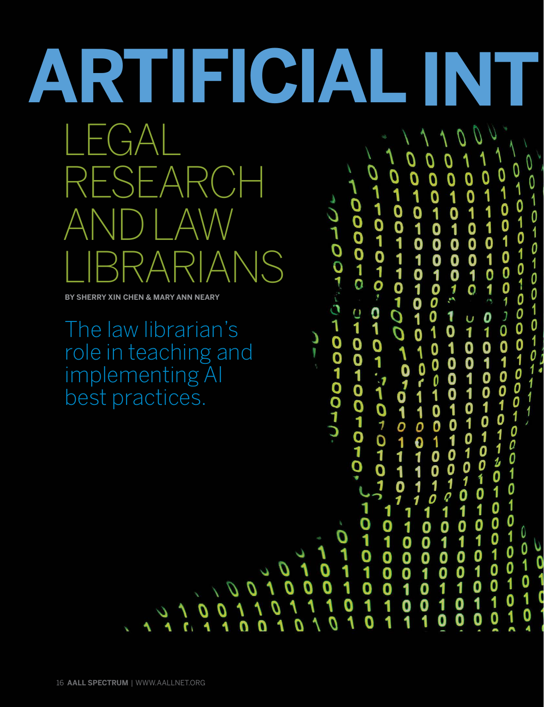# **ARTIFICIAL INT**  $\vdash$ ( $\exists$  $\forall$ Q –  $\Delta$ 0101010101010 001001000 0010010 01010101 0111101010  $\sim$ 0000-0 01010100 AND LAW 0  $\frac{1}{0}$ IANS

 $\overline{\mathfrak{o}}$ 

D

1

 $\boldsymbol{0}$ 

O

0

 $\overline{\mathbf{C}}$ 

À

**BY SHERRY XIN CHEN & MARY ANN NEARY**

The law librarian's role in teaching and implementing AI best practices.

01101010101010101 0100100010010010010 J-00-POPOPOPO-1  $\mathbf{0}$ 01001001010  $\begin{array}{c} 1 \\ 0 \end{array}$  $\mathbf{1}$ 010100 u<br>1 0 1  $\overline{\mathbf{0}}$ د<br>ا  $\begin{bmatrix} 1 \\ 0 \\ 1 \\ 1 \end{bmatrix}$  $\overline{\mathbf{0}}$ 100010 0<br>0<br>1 0  $\overline{\mathbf{A}}$  $\frac{1}{0}$ 0  $\begin{array}{c} 0 \\ 0 \\ 1 \end{array}$ 010010010 0<br>0<br>1  $\begin{array}{c}\n1 \\
0 \\
1 \\
0\n\end{array}$  $\begin{array}{c} 1 \\ 0 \\ 1 \end{array}$  $1001111$  $\overset{\text{\normalsize 0}}{\mathcal{O}}$ 1  $\frac{1}{2}$ 0<br>0<br>1<br>0<br>1 1 0 ر<br>0 0 1  $\tilde{\mathbf{0}}$ 0<br>1 L 1  $1010$  $\boldsymbol{0}$  $\begin{array}{c} 1 \\ 0 \end{array}$  $\overline{\mathbf{1}}$ 1 101000  $\begin{array}{c} 1 \\ 1 \\ 0 \end{array}$  $\frac{1}{0}$ <br> $\frac{1}{0}$ 0 0  $\ddot{\mathbf{0}}$  $011$  $\frac{1}{0}$ 0  $\frac{1}{0}$  $\frac{1}{0}$  $\overline{\mathbf{0}}$  $\sim$ oo ں<br>1  $\frac{0}{1}$  $\overline{\mathbf{1}}$  $\overline{0}$  $\bar{\mathbf{0}}$  $\frac{1}{2}$ 0<br>1  $\overline{\mathbf{0}}$ ĭ  $\bar{\mathbf{0}}$ 1 0 0 ī  $\overline{\mathbf{1}}$  $\overline{\mathbf{0}}$ 1 0 1 0  $\frac{1}{\sqrt{2}}$ 1 1 1 0 1 0 0 1 1 0 0 0 0 ٥ O 1 1 1 U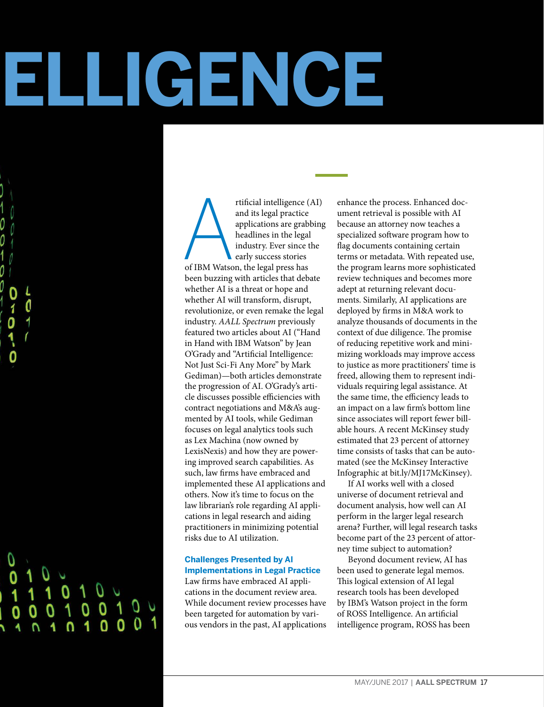# **INTELLIGENCE**

# 0

rtificial intelligence (and its legal practice applications are grab headlines in the legal industry. Ever since the early success stories of IBM Watson, the legal press has rtificial intelligence (AI) and its legal practice applications are grabbing headlines in the legal industry. Ever since the early success stories been buzzing with articles that debate whether AI is a threat or hope and whether AI will transform, disrupt, revolutionize, or even remake the legal industry. *AALL Spectrum* previously featured two articles about AI ("Hand in Hand with IBM Watson" by Jean O'Grady and "Artificial Intelligence: Not Just Sci-Fi Any More" by Mark Gediman)—both articles demonstrate the progression of AI. O'Grady's article discusses possible efficiencies with contract negotiations and M&A's augmented by AI tools, while Gediman focuses on legal analytics tools such as Lex Machina (now owned by LexisNexis) and how they are powering improved search capabilities. As such, law firms have embraced and implemented these AI applications and others. Now it's time to focus on the law librarian's role regarding AI applications in legal research and aiding practitioners in minimizing potential risks due to AI utilization.

# **Challenges Presented by AI Implementations in Legal Practice**

Law firms have embraced AI applications in the document review area. While document review processes have been targeted for automation by various vendors in the past, AI applications enhance the process. Enhanced document retrieval is possible with AI because an attorney now teaches a specialized software program how to flag documents containing certain terms or metadata. With repeated use, the program learns more sophisticated review techniques and becomes more adept at returning relevant documents. Similarly, AI applications are deployed by firms in M&A work to analyze thousands of documents in the context of due diligence. The promise of reducing repetitive work and minimizing workloads may improve access to justice as more practitioners' time is freed, allowing them to represent individuals requiring legal assistance. At the same time, the efficiency leads to an impact on a law firm's bottom line since associates will report fewer billable hours. A recent McKinsey study estimated that 23 percent of attorney time consists of tasks that can be automated (see the McKinsey Interactive Infographic a[t bit.ly/MJ17McKinsey\).](http://bit.ly/MJ17McKinsey)

If AI works well with a closed universe of document retrieval and document analysis, how well can AI perform in the larger legal research arena? Further, will legal research tasks become part of the 23 percent of attorney time subject to automation?

Beyond document review, AI has been used to generate legal memos. This logical extension of AI legal research tools has been developed by IBM's Watson project in the form of ROSS Intelligence. An artificial intelligence program, ROSS has been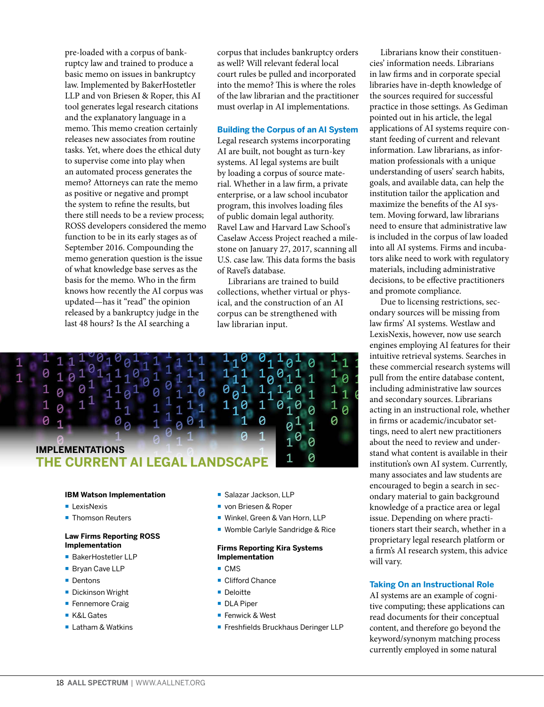pre-loaded with a corpus of bankruptcy law and trained to produce a basic memo on issues in bankruptcy law. Implemented by BakerHostetler LLP and von Briesen & Roper, this AI tool generates legal research citations and the explanatory language in a memo. This memo creation certainly releases new associates from routine tasks. Yet, where does the ethical duty to supervise come into play when an automated process generates the memo? Attorneys can rate the memo as positive or negative and prompt the system to refine the results, but there still needs to be a review process; ROSS developers considered the memo function to be in its early stages as of September 2016. Compounding the memo generation question is the issue of what knowledge base serves as the basis for the memo. Who in the firm knows how recently the AI corpus was updated—has it "read" the opinion released by a bankruptcy judge in the last 48 hours? Is the AI searching a

corpus that includes bankruptcy orders as well? Will relevant federal local court rules be pulled and incorporated into the memo? This is where the roles of the law librarian and the practitioner must overlap in AI implementations.

### **Building the Corpus of an AI System**

Legal research systems incorporating AI are built, not bought as turn-key systems. AI legal systems are built by loading a corpus of source material. Whether in a law firm, a private enterprise, or a law school incubator program, this involves loading files of public domain legal authority. Ravel Law and Harvard Law School's Caselaw Access Project reached a milestone on January 27, 2017, scanning all U.S. case law. This data forms the basis of Ravel's database.

Librarians are trained to build collections, whether virtual or physical, and the construction of an AI corpus can be strengthened with law librarian input.



### **IBM Watson Implementation**

- **LexisNexis**
- Thomson Reuters

### **Law Firms Reporting ROSS Implementation**

- BakerHostetler LLP
- Bryan Cave LLP
- Dentons
- **Dickinson Wright**
- Fennemore Craig
- K&L Gates
- Latham & Watkins
- Salazar Jackson, LLP
- ¡ von Briesen & Roper
- Winkel, Green & Van Horn, LLP
- Womble Carlyle Sandridge & Rice

### **Firms Reporting Kira Systems Implementation**

- CMS
- Clifford Chance
- Deloitte
- DLA Piper
- Fenwick & West
- Freshfields Bruckhaus Deringer LLP

Librarians know their constituencies' information needs. Librarians in law firms and in corporate special libraries have in-depth knowledge of the sources required for successful practice in those settings. As Gediman pointed out in his article, the legal applications of AI systems require constant feeding of current and relevant information. Law librarians, as information professionals with a unique understanding of users' search habits, goals, and available data, can help the institution tailor the application and maximize the benefits of the AI system. Moving forward, law librarians need to ensure that administrative law is included in the corpus of law loaded into all AI systems. Firms and incubators alike need to work with regulatory materials, including administrative decisions, to be effective practitioners and promote compliance.

Due to licensing restrictions, secondary sources will be missing from law firms' AI systems. Westlaw and LexisNexis, however, now use search engines employing AI features for their intuitive retrieval systems. Searches in these commercial research systems will pull from the entire database content, including administrative law sources and secondary sources. Librarians acting in an instructional role, whether in firms or academic/incubator settings, need to alert new practitioners about the need to review and understand what content is available in their institution's own AI system. Currently, many associates and law students are encouraged to begin a search in secondary material to gain background knowledge of a practice area or legal issue. Depending on where practitioners start their search, whether in a proprietary legal research platform or a firm's AI research system, this advice will vary.

### **Taking On an Instructional Role**

AI systems are an example of cognitive computing; these applications can read documents for their conceptual content, and therefore go beyond the keyword/synonym matching process currently employed in some natural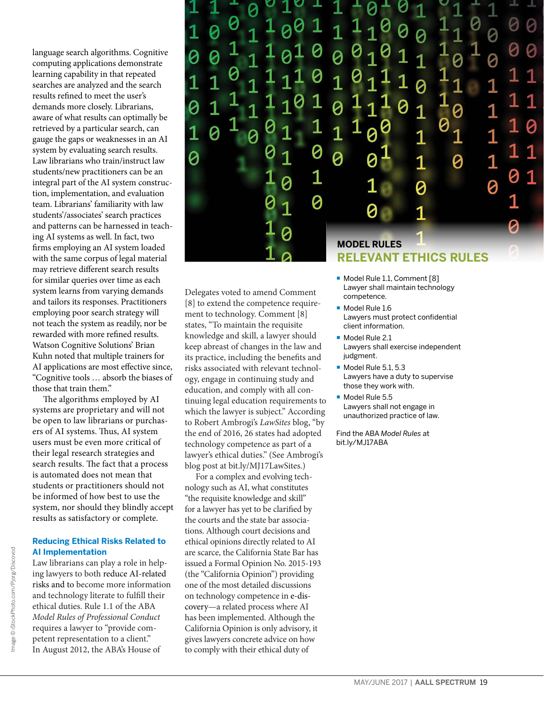language search algorithms. Cognitive computing applications demonstrate learning capability in that repeated searches are analyzed and the search results refined to meet the user's demands more closely. Librarians, aware of what results can optimally be retrieved by a particular search, can gauge the gaps or weaknesses in an AI system by evaluating search results. Law librarians who train/instruct law students/new practitioners can be an integral part of the AI system construction, implementation, and evaluation team. Librarians' familiarity with law students'/associates' search practices and patterns can be harnessed in teaching AI systems as well. In fact, two firms employing an AI system loaded with the same corpus of legal material may retrieve different search results for similar queries over time as each system learns from varying demands and tailors its responses. Practitioners employing poor search strategy will not teach the system as readily, nor be rewarded with more refined results. Watson Cognitive Solutions' Brian Kuhn noted that multiple trainers for AI applications are most effective since, "Cognitive tools … absorb the biases of those that train them."

The algorithms employed by AI systems are proprietary and will not be open to law librarians or purchasers of AI systems. Thus, AI system users must be even more critical of their legal research strategies and search results. The fact that a process is automated does not mean that students or practitioners should not be informed of how best to use the system, nor should they blindly accept results as satisfactory or complete.

## **Reducing Ethical Risks Related to AI Implementation**

Law librarians can play a role in helping lawyers to both reduce AI-related risks and to become more information and technology literate to fulfill their ethical duties. Rule 1.1 of the ABA *Model Rules of Professional Conduct*  requires a lawyer to "provide competent representation to a client." In August 2012, the ABA's House of



competence.

Delegates voted to amend Comment [8] to extend the competence requirement to technology. Comment [8] states, "To maintain the requisite knowledge and skill, a lawyer should keep abreast of changes in the law and its practice, including the benefits and risks associated with relevant technology, engage in continuing study and education, and comply with all continuing legal education requirements to which the lawyer is subject." According to Robert Ambrogi's *LawSites* blog, "by the end of 2016, 26 states had adopted technology competence as part of a lawyer's ethical duties." (See Ambrogi's blog post at [bit.ly/MJ17LawSites.\)](http://bit.ly/MJ17LawSites)

For a complex and evolving technology such as AI, what constitutes "the requisite knowledge and skill" for a lawyer has yet to be clarified by the courts and the state bar associations. Although court decisions and ethical opinions directly related to AI are scarce, the California State Bar has issued a Formal Opinion No. 2015-193 (the "California Opinion") providing one of the most detailed discussions on technology competence in e-discovery—a related process where AI has been implemented. Although the California Opinion is only advisory, it gives lawyers concrete advice on how to comply with their ethical duty of

- Model Rule 1.1, Comment [8] Lawyer shall maintain technology
- Model Rule 1.6 Lawyers must protect confidential client information.
- Model Rule 2.1 Lawyers shall exercise independent judgment.
- $\blacksquare$  Model Rule 5.1, 5.3 Lawyers have a duty to supervise those they work with.
- **Model Rule 5.5** Lawyers shall not engage in unauthorized practice of law.

Find the ABA *Model Rules* at [bit.ly/MJ17ABA](http://bit.ly/MJ17ABA)